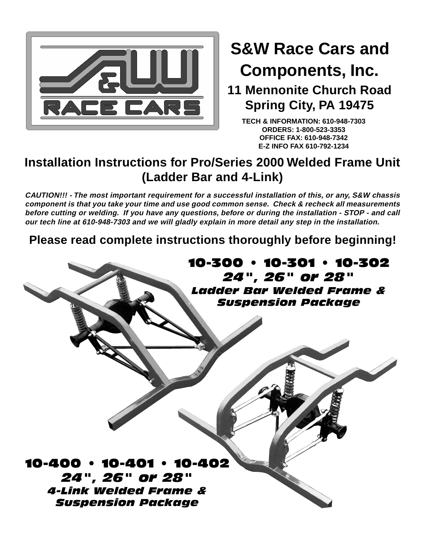

# **S&W Race Cars and Components, Inc.**

# **11 Mennonite Church Road Spring City, PA 19475**

**TECH & INFORMATION: 610-948-7303 ORDERS: 1-800-523-3353 OFFICE FAX: 610-948-7342 E-Z INFO FAX 610-792-1234**

# **Installation Instructions for Pro/Series 2000 Welded Frame Unit (Ladder Bar and 4-Link)**

**CAUTION!!! - The most important requirement for a successful installation of this, or any, S&W chassis component is that you take your time and use good common sense. Check & recheck all measurements before cutting or welding. If you have any questions, before or during the installation - STOP - and call our tech line at 610-948-7303 and we will gladly explain in more detail any step in the installation.**

**Please read complete instructions thoroughly before beginning!**

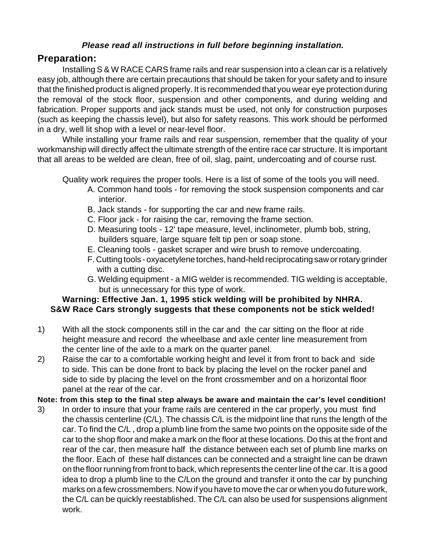#### **Please read all instructions in full before beginning installation.**

### **Preparation:**

Installing S & W RACE CARS frame rails and rear suspension into a clean car is a relatively easy job, although there are certain precautions that should be taken for your safety and to insure that the finished product is aligned properly. It is recommended that you wear eye protection during the removal of the stock floor, suspension and other components, and during welding and fabrication. Proper supports and jack stands must be used, not only for construction purposes (such as keeping the chassis level), but also for safety reasons. This work should be performed in a dry, well lit shop with a level or near-level floor.

While installing your frame rails and rear suspension, remember that the quality of your workmanship will directly affect the ultimate strength of the entire race car structure. It is important that all areas to be welded are clean, free of oil, slag, paint, undercoating and of course rust.

Quality work requires the proper tools. Here is a list of some of the tools you will need.

- A. Common hand tools for removing the stock suspension components and car interior.
- B. Jack stands for supporting the car and new frame rails.
- C. Floor jack for raising the car, removing the frame section.
- D. Measuring tools 12' tape measure, level, inclinometer, plumb bob, string, builders square, large square felt tip pen or soap stone.
- E. Cleaning tools gasket scraper and wire brush to remove undercoating.
- F. Cutting tools oxyacetylene torches, hand-held reciprocating saw or rotary grinder with a cutting disc.
- G. Welding equipment a MIG welder is recommended. TIG welding is acceptable, but is unnecessary for this type of work.

#### **Warning: Effective Jan. 1, 1995 stick welding will be prohibited by NHRA. S&W Race Cars strongly suggests that these components not be stick welded!**

- 1) With all the stock components still in the car and the car sitting on the floor at ride height measure and record the wheelbase and axle center line measurement from the center line of the axle to a mark on the quarter panel.
- 2) Raise the car to a comfortable working height and level it from front to back and side to side. This can be done front to back by placing the level on the rocker panel and side to side by placing the level on the front crossmember and on a horizontal floor panel at the rear of the car.

**Note: from this step to the final step always be aware and maintain the car's level condition!**

3) In order to insure that your frame rails are centered in the car properly, you must find the chassis centerline (C/L). The chassis C/L is the midpoint line that runs the length of the car. To find the C/L , drop a plumb line from the same two points on the opposite side of the car to the shop floor and make a mark on the floor at these locations. Do this at the front and rear of the car, then measure half the distance between each set of plumb line marks on the floor. Each of these half distances can be connected and a straight line can be drawn on the floor running from front to back, which represents the center line of the car. It is a good idea to drop a plumb line to the C/Lon the ground and transfer it onto the car by punching marks on a few crossmembers. Now if you have to move the car or when you do future work, the C/L can be quickly reestablished. The C/L can also be used for suspensions alignment work.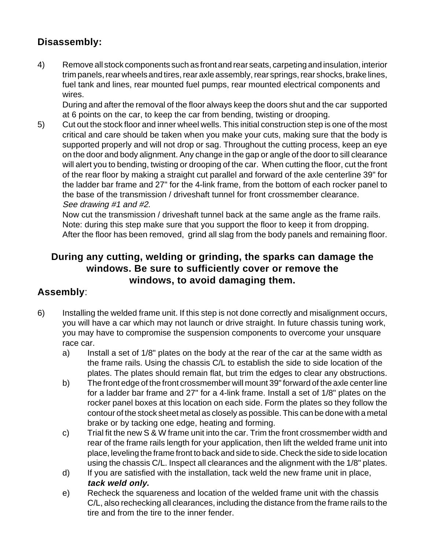## **Disassembly:**

4) Remove all stock components such as front and rear seats, carpeting and insulation, interior trim panels, rear wheels and tires, rear axle assembly, rear springs, rear shocks, brake lines, fuel tank and lines, rear mounted fuel pumps, rear mounted electrical components and wires.

During and after the removal of the floor always keep the doors shut and the car supported at 6 points on the car, to keep the car from bending, twisting or drooping.

5) Cut out the stock floor and inner wheel wells. This initial construction step is one of the most critical and care should be taken when you make your cuts, making sure that the body is supported properly and will not drop or sag. Throughout the cutting process, keep an eye on the door and body alignment. Any change in the gap or angle of the door to sill clearance will alert you to bending, twisting or drooping of the car. When cutting the floor, cut the front of the rear floor by making a straight cut parallel and forward of the axle centerline 39" for the ladder bar frame and 27" for the 4-link frame, from the bottom of each rocker panel to the base of the transmission / driveshaft tunnel for front crossmember clearance. See drawing #1 and #2.

Now cut the transmission / driveshaft tunnel back at the same angle as the frame rails. Note: during this step make sure that you support the floor to keep it from dropping. After the floor has been removed, grind all slag from the body panels and remaining floor.

## **During any cutting, welding or grinding, the sparks can damage the windows. Be sure to sufficiently cover or remove the windows, to avoid damaging them.**

## **Assembly**:

- 6) Installing the welded frame unit. If this step is not done correctly and misalignment occurs, you will have a car which may not launch or drive straight. In future chassis tuning work, you may have to compromise the suspension components to overcome your unsquare race car.
	- a) Install a set of 1/8" plates on the body at the rear of the car at the same width as the frame rails. Using the chassis C/L to establish the side to side location of the plates. The plates should remain flat, but trim the edges to clear any obstructions.
	- b) The front edge of the front crossmember will mount 39" forward of the axle center line for a ladder bar frame and 27" for a 4-link frame. Install a set of 1/8" plates on the rocker panel boxes at this location on each side. Form the plates so they follow the contour of the stock sheet metal as closely as possible. This can be done with a metal brake or by tacking one edge, heating and forming.
	- c) Trial fit the new S & W frame unit into the car. Trim the front crossmember width and rear of the frame rails length for your application, then lift the welded frame unit into place, leveling the frame front to back and side to side. Check the side to side location using the chassis C/L. Inspect all clearances and the alignment with the 1/8" plates.
	- d) If you are satisfied with the installation, tack weld the new frame unit in place, **tack weld only.**
	- e) Recheck the squareness and location of the welded frame unit with the chassis C/L, also rechecking all clearances, including the distance from the frame rails to the tire and from the tire to the inner fender.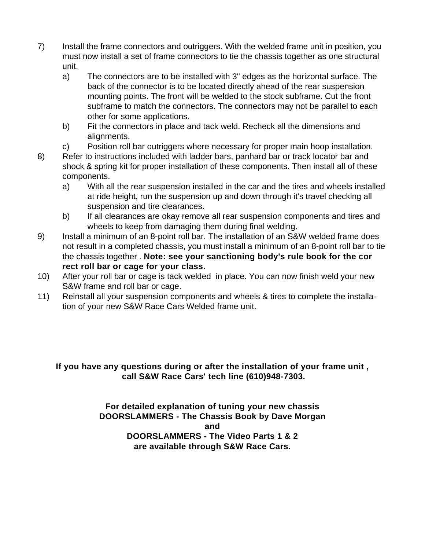- 7) Install the frame connectors and outriggers. With the welded frame unit in position, you must now install a set of frame connectors to tie the chassis together as one structural unit.
	- a) The connectors are to be installed with 3" edges as the horizontal surface. The back of the connector is to be located directly ahead of the rear suspension mounting points. The front will be welded to the stock subframe. Cut the front subframe to match the connectors. The connectors may not be parallel to each other for some applications.
	- b) Fit the connectors in place and tack weld. Recheck all the dimensions and alignments.
	- c) Position roll bar outriggers where necessary for proper main hoop installation.
- 8) Refer to instructions included with ladder bars, panhard bar or track locator bar and shock & spring kit for proper installation of these components. Then install all of these components.
	- a) With all the rear suspension installed in the car and the tires and wheels installed at ride height, run the suspension up and down through it's travel checking all suspension and tire clearances.
	- b) If all clearances are okay remove all rear suspension components and tires and wheels to keep from damaging them during final welding.
- 9) Install a minimum of an 8-point roll bar. The installation of an S&W welded frame does not result in a completed chassis, you must install a minimum of an 8-point roll bar to tie the chassis together . **Note: see your sanctioning body's rule book for the cor rect roll bar or cage for your class.**
- 10) After your roll bar or cage is tack welded in place. You can now finish weld your new S&W frame and roll bar or cage.
- 11) Reinstall all your suspension components and wheels & tires to complete the installation of your new S&W Race Cars Welded frame unit.

#### **If you have any questions during or after the installation of your frame unit , call S&W Race Cars' tech line (610)948-7303.**

#### **For detailed explanation of tuning your new chassis DOORSLAMMERS - The Chassis Book by Dave Morgan and DOORSLAMMERS - The Video Parts 1 & 2 are available through S&W Race Cars.**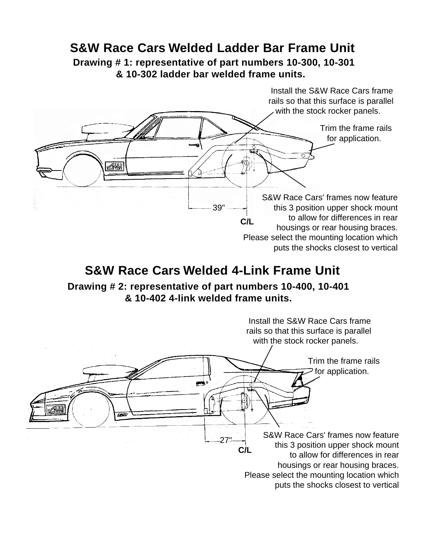## **S&W Race Cars Welded Ladder Bar Frame Unit Drawing # 1: representative of part numbers 10-300, 10-301 & 10-302 ladder bar welded frame units.**



# **S&W Race Cars Welded 4-Link Frame Unit**

**Drawing # 2: representative of part numbers 10-400, 10-401 & 10-402 4-link welded frame units.**

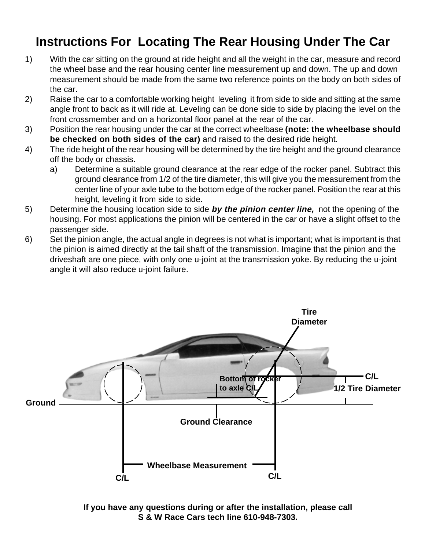# **Instructions For Locating The Rear Housing Under The Car**

- 1) With the car sitting on the ground at ride height and all the weight in the car, measure and record the wheel base and the rear housing center line measurement up and down. The up and down measurement should be made from the same two reference points on the body on both sides of the car.
- 2) Raise the car to a comfortable working height leveling it from side to side and sitting at the same angle front to back as it will ride at. Leveling can be done side to side by placing the level on the front crossmember and on a horizontal floor panel at the rear of the car.
- 3) Position the rear housing under the car at the correct wheelbase **(note: the wheelbase should be checked on both sides of the car)** and raised to the desired ride height.
- 4) The ride height of the rear housing will be determined by the tire height and the ground clearance off the body or chassis.
	- a) Determine a suitable ground clearance at the rear edge of the rocker panel. Subtract this ground clearance from 1/2 of the tire diameter, this will give you the measurement from the center line of your axle tube to the bottom edge of the rocker panel. Position the rear at this height, leveling it from side to side.
- 5) Determine the housing location side to side **by the pinion center line,** not the opening of the housing. For most applications the pinion will be centered in the car or have a slight offset to the passenger side.
- 6) Set the pinion angle, the actual angle in degrees is not what is important; what is important is that the pinion is aimed directly at the tail shaft of the transmission. Imagine that the pinion and the driveshaft are one piece, with only one u-joint at the transmission yoke. By reducing the u-joint angle it will also reduce u-joint failure.



**If you have any questions during or after the installation, please call S & W Race Cars tech line 610-948-7303.**